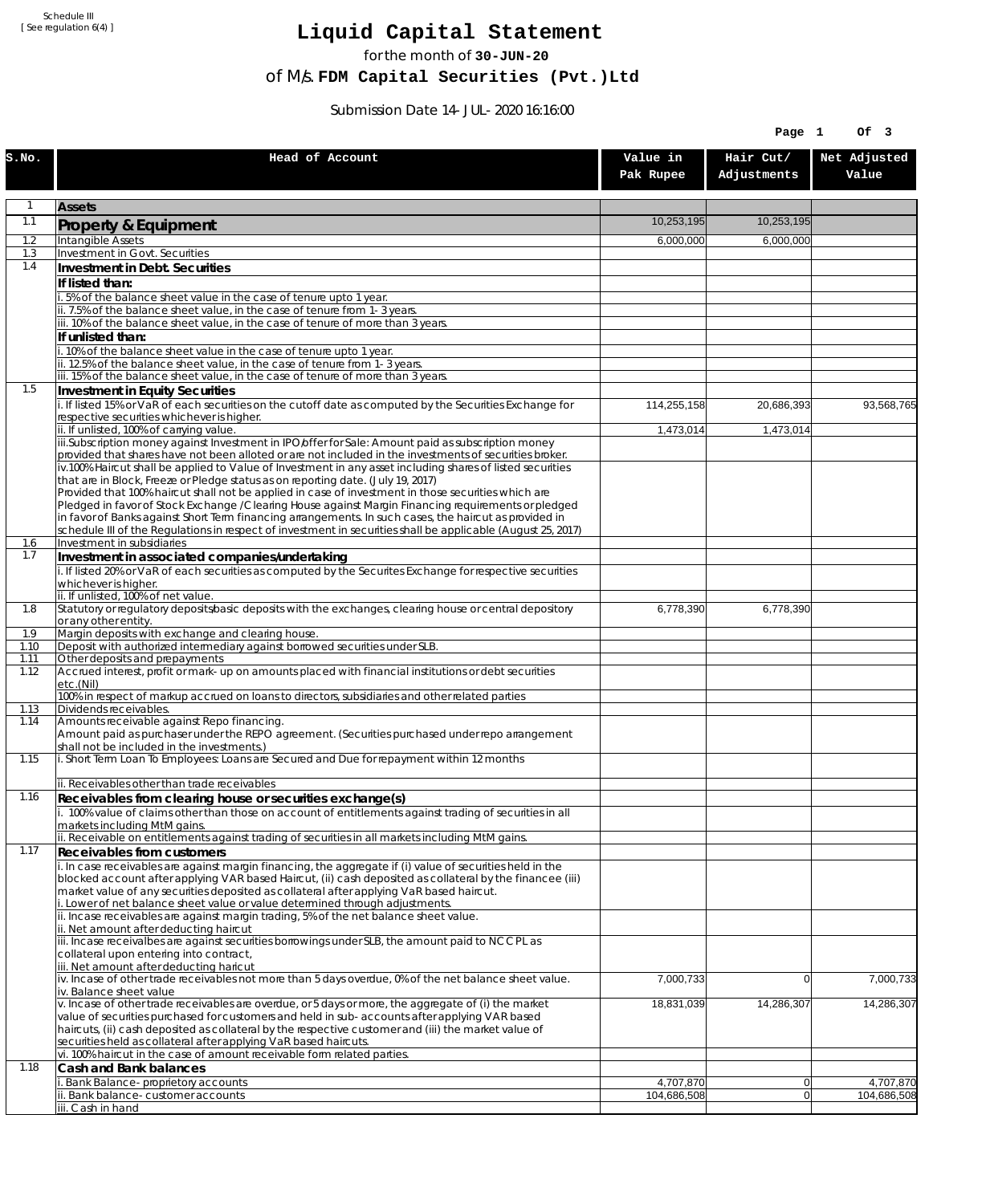Schedule III [ See regulation 6(4) ]

## **Liquid Capital Statement**

for the month of **30-JUN-20**

of M/s. **FDM Capital Securities (Pvt.)Ltd**

Submission Date 14-JUL-2020 16:16:00

|              |                                                                                                                                                                                                                |                       | Page 1                   | Of 3                  |
|--------------|----------------------------------------------------------------------------------------------------------------------------------------------------------------------------------------------------------------|-----------------------|--------------------------|-----------------------|
| S.NO.        | Head of Account                                                                                                                                                                                                | Value in<br>Pak Rupee | Hair Cut/<br>Adjustments | Net Adjusted<br>Value |
| 1            | <b>Assets</b>                                                                                                                                                                                                  |                       |                          |                       |
| 1.1          | Property & Equipment                                                                                                                                                                                           | 10,253,195            | 10,253,195               |                       |
| 1.2          | Intangible Assets                                                                                                                                                                                              | 6,000,000             | 6,000,000                |                       |
| 1.3<br>1.4   | Investment in Govt. Securities<br>Investment in Debt. Securities                                                                                                                                               |                       |                          |                       |
|              | If listed than:                                                                                                                                                                                                |                       |                          |                       |
|              | i. 5% of the balance sheet value in the case of tenure upto 1 year.                                                                                                                                            |                       |                          |                       |
|              | ii. 7.5% of the balance sheet value, in the case of tenure from 1-3 years.<br>iii. 10% of the balance sheet value, in the case of tenure of more than 3 years.                                                 |                       |                          |                       |
|              | If unlisted than:                                                                                                                                                                                              |                       |                          |                       |
|              | i. 10% of the balance sheet value in the case of tenure upto 1 year.                                                                                                                                           |                       |                          |                       |
|              | ii. 12.5% of the balance sheet value, in the case of tenure from 1-3 years.<br>iii. 15% of the balance sheet value, in the case of tenure of more than 3 years.                                                |                       |                          |                       |
| 1.5          | Investment in Equity Securities                                                                                                                                                                                |                       |                          |                       |
|              | i. If listed 15% or VaR of each securities on the cutoff date as computed by the Securities Exchange for                                                                                                       | 114,255,158           | 20,686,393               | 93,568,765            |
|              | respective securities whichever is higher.<br>ii. If unlisted, 100% of carrying value.                                                                                                                         | 1,473,014             | 1,473,014                |                       |
|              | iii.Subscription money against Investment in IPO/offer for Sale: Amount paid as subscription money                                                                                                             |                       |                          |                       |
|              | provided that shares have not been alloted or are not included in the investments of securities broker.                                                                                                        |                       |                          |                       |
|              | iv.100% Haircut shall be applied to Value of Investment in any asset including shares of listed securities<br>that are in Block, Freeze or Pledge status as on reporting date. (July 19, 2017)                 |                       |                          |                       |
|              | Provided that 100% haircut shall not be applied in case of investment in those securities which are                                                                                                            |                       |                          |                       |
|              | Pledged in favor of Stock Exchange / Clearing House against Margin Financing requirements or pledged<br>in favor of Banks against Short Term financing arrangements. In such cases, the haircut as provided in |                       |                          |                       |
|              | schedule III of the Regulations in respect of investment in securities shall be applicable (August 25, 2017)                                                                                                   |                       |                          |                       |
| 1.6<br>1.7   | Investment in subsidiaries                                                                                                                                                                                     |                       |                          |                       |
|              | Investment in associated companies/undertaking<br>i. If listed 20% or VaR of each securities as computed by the Securites Exchange for respective securities                                                   |                       |                          |                       |
|              | whichever is higher.                                                                                                                                                                                           |                       |                          |                       |
| 1.8          | ii. If unlisted, 100% of net value.<br>Statutory or regulatory deposits/basic deposits with the exchanges, clearing house or central depository                                                                | 6,778,390             | 6,778,390                |                       |
|              | or any other entity.                                                                                                                                                                                           |                       |                          |                       |
| 1.9          | Margin deposits with exchange and clearing house.                                                                                                                                                              |                       |                          |                       |
| 1.10<br>1.11 | Deposit with authorized intermediary against borrowed securities under SLB.<br>Other deposits and prepayments                                                                                                  |                       |                          |                       |
| 1.12         | Accrued interest, profit or mark-up on amounts placed with financial institutions or debt securities<br>etc.(Nil)                                                                                              |                       |                          |                       |
|              | 100% in respect of markup accrued on loans to directors, subsidiaries and other related parties                                                                                                                |                       |                          |                       |
| 1.13<br>1.14 | Dividends receivables.<br>Amounts receivable against Repo financing.                                                                                                                                           |                       |                          |                       |
|              | Amount paid as purchaser under the REPO agreement. (Securities purchased under repo arrangement                                                                                                                |                       |                          |                       |
| 1.15         | shall not be included in the investments.)<br>i. Short Term Loan To Employees: Loans are Secured and Due for repayment within 12 months                                                                        |                       |                          |                       |
|              |                                                                                                                                                                                                                |                       |                          |                       |
| 1.16         | ii. Receivables other than trade receivables<br>Receivables from clearing house or securities exchange(s)                                                                                                      |                       |                          |                       |
|              | i. 100% value of claims other than those on account of entitlements against trading of securities in all                                                                                                       |                       |                          |                       |
|              | markets including MtM gains.<br>ii. Receivable on entitlements against trading of securities in all markets including MtM gains.                                                                               |                       |                          |                       |
| 1.17         | <b>Receivables from customers</b>                                                                                                                                                                              |                       |                          |                       |
|              | i. In case receivables are against margin financing, the aggregate if (i) value of securities held in the                                                                                                      |                       |                          |                       |
|              | blocked account after applying VAR based Haircut, (ii) cash deposited as collateral by the financee (iii)<br>market value of any securities deposited as collateral after applying VaR based haircut.          |                       |                          |                       |
|              | i. Lower of net balance sheet value or value determined through adjustments.                                                                                                                                   |                       |                          |                       |
|              | ii. Incase receivables are against margin trading, 5% of the net balance sheet value.                                                                                                                          |                       |                          |                       |
|              | ii. Net amount after deducting haircut<br>iii. Incase receivalbes are against securities borrowings under SLB, the amount paid to NCCPL as                                                                     |                       |                          |                       |
|              | collateral upon entering into contract,                                                                                                                                                                        |                       |                          |                       |
|              | iii. Net amount after deducting haricut<br>$iv.$ Incase of other trade receivables not more than 5 days overdue, 0% of the net balance sheet value.                                                            | 7,000,733             | $\overline{0}$           | 7,000,733             |
|              | iv. Balance sheet value                                                                                                                                                                                        |                       |                          |                       |
|              | v. Incase of other trade receivables are overdue, or 5 days or more, the aggregate of (i) the market                                                                                                           | 18,831,039            | 14,286,307               | 14,286,307            |
|              | value of securities purchased for customers and held in sub-accounts after applying VAR based<br>haircuts, (ii) cash deposited as collateral by the respective customer and (iii) the market value of          |                       |                          |                       |
|              | securities held as collateral after applying VaR based haircuts.                                                                                                                                               |                       |                          |                       |
| 1.18         | vi. 100% haircut in the case of amount receivable form related parties.<br>Cash and Bank balances                                                                                                              |                       |                          |                       |
|              | i. Bank Balance-proprietory accounts                                                                                                                                                                           | 4,707,870             | 0                        | 4,707,870             |
|              | ii. Bank balance-customer accounts                                                                                                                                                                             | 104,686,508           | 0                        | 104,686,508           |
|              | iii. Cash in hand                                                                                                                                                                                              |                       |                          |                       |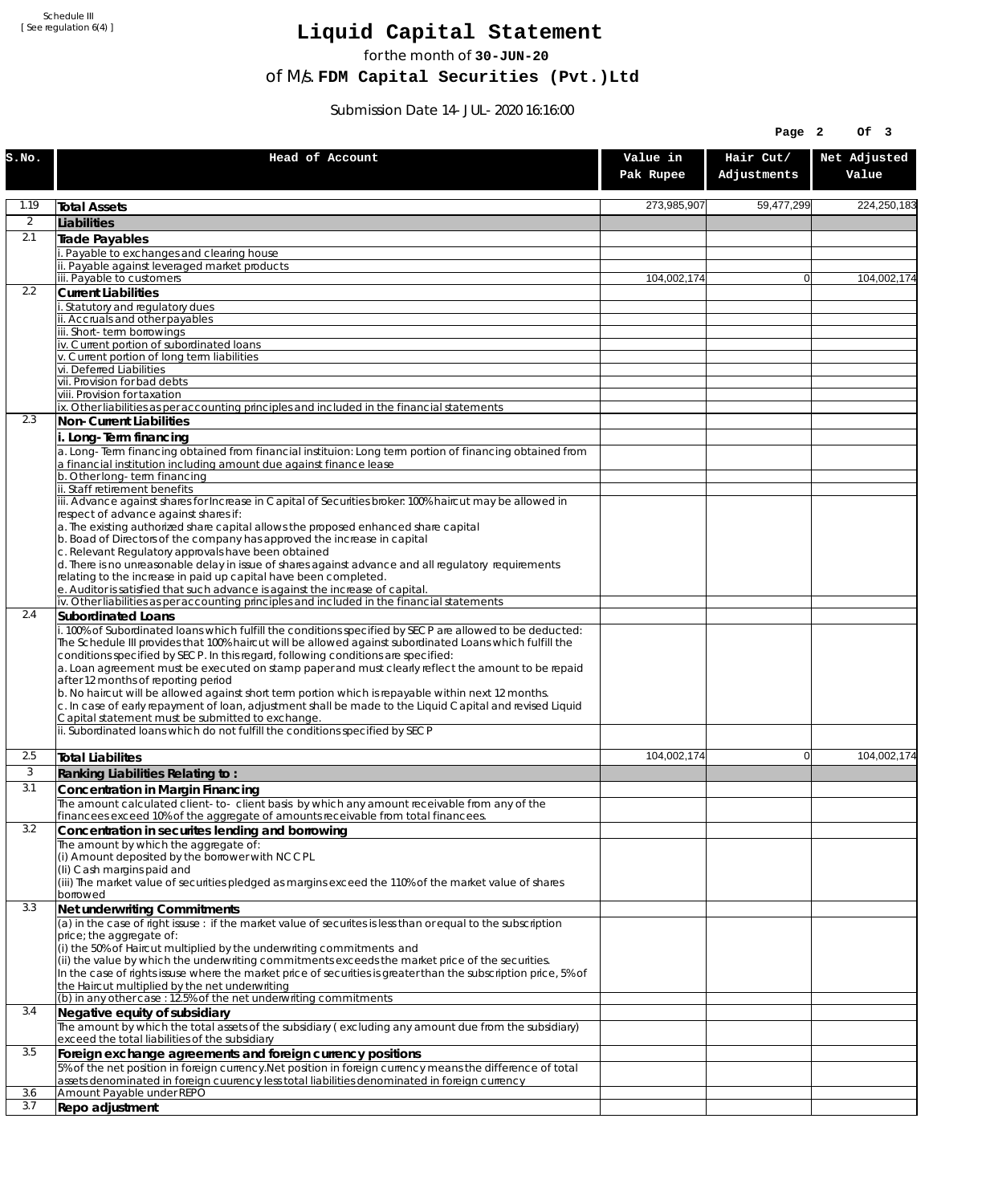Schedule III [ See regulation 6(4) ]

## **Liquid Capital Statement**

for the month of **30-JUN-20**

of M/s. **FDM Capital Securities (Pvt.)Ltd**

Submission Date 14-JUL-2020 16:16:00

|                |                                                                                                                                                                                                                                                                                                                                                                                                                                                                                                                                                                                                                                                                                                                                                                                                             |                       | Page 2                   | Of 3                  |
|----------------|-------------------------------------------------------------------------------------------------------------------------------------------------------------------------------------------------------------------------------------------------------------------------------------------------------------------------------------------------------------------------------------------------------------------------------------------------------------------------------------------------------------------------------------------------------------------------------------------------------------------------------------------------------------------------------------------------------------------------------------------------------------------------------------------------------------|-----------------------|--------------------------|-----------------------|
| S.NO.          | Head of Account                                                                                                                                                                                                                                                                                                                                                                                                                                                                                                                                                                                                                                                                                                                                                                                             | Value in<br>Pak Rupee | Hair Cut/<br>Adjustments | Net Adjusted<br>Value |
| 1.19           | <b>Total Assets</b>                                                                                                                                                                                                                                                                                                                                                                                                                                                                                                                                                                                                                                                                                                                                                                                         | 273,985,907           | 59,477,299               | 224,250,183           |
| $\overline{2}$ | Liabilities                                                                                                                                                                                                                                                                                                                                                                                                                                                                                                                                                                                                                                                                                                                                                                                                 |                       |                          |                       |
| 2.1            | Trade Payables                                                                                                                                                                                                                                                                                                                                                                                                                                                                                                                                                                                                                                                                                                                                                                                              |                       |                          |                       |
|                | Payable to exchanges and clearing house<br>. Payable against leveraged market products                                                                                                                                                                                                                                                                                                                                                                                                                                                                                                                                                                                                                                                                                                                      |                       |                          |                       |
|                | iii. Payable to customers                                                                                                                                                                                                                                                                                                                                                                                                                                                                                                                                                                                                                                                                                                                                                                                   | 104,002,174           | $\overline{0}$           | 104.002.174           |
| 2.2            | <b>Current Liabilities</b>                                                                                                                                                                                                                                                                                                                                                                                                                                                                                                                                                                                                                                                                                                                                                                                  |                       |                          |                       |
|                | Statutory and regulatory dues<br>ii. Accruals and other payables                                                                                                                                                                                                                                                                                                                                                                                                                                                                                                                                                                                                                                                                                                                                            |                       |                          |                       |
|                | ii. Short-term borrowings                                                                                                                                                                                                                                                                                                                                                                                                                                                                                                                                                                                                                                                                                                                                                                                   |                       |                          |                       |
|                | iv. Current portion of subordinated loans                                                                                                                                                                                                                                                                                                                                                                                                                                                                                                                                                                                                                                                                                                                                                                   |                       |                          |                       |
|                | v. Current portion of long term liabilities<br>vi. Deferred Liabilities                                                                                                                                                                                                                                                                                                                                                                                                                                                                                                                                                                                                                                                                                                                                     |                       |                          |                       |
|                | vii. Provision for bad debts                                                                                                                                                                                                                                                                                                                                                                                                                                                                                                                                                                                                                                                                                                                                                                                |                       |                          |                       |
|                | viii. Provision for taxation<br>ix. Other liabilities as per accounting principles and included in the financial statements                                                                                                                                                                                                                                                                                                                                                                                                                                                                                                                                                                                                                                                                                 |                       |                          |                       |
| 2.3            | Non-Current Liabilities                                                                                                                                                                                                                                                                                                                                                                                                                                                                                                                                                                                                                                                                                                                                                                                     |                       |                          |                       |
|                | i. Long-Term financing                                                                                                                                                                                                                                                                                                                                                                                                                                                                                                                                                                                                                                                                                                                                                                                      |                       |                          |                       |
|                | a. Long-Term financing obtained from financial instituion: Long term portion of financing obtained from<br>a financial institution including amount due against finance lease                                                                                                                                                                                                                                                                                                                                                                                                                                                                                                                                                                                                                               |                       |                          |                       |
|                | b. Other long-term financing<br>ii. Staff retirement benefits                                                                                                                                                                                                                                                                                                                                                                                                                                                                                                                                                                                                                                                                                                                                               |                       |                          |                       |
|                | iii. Advance against shares for Increase in Capital of Securities broker: 100% haircut may be allowed in<br>respect of advance against shares if:                                                                                                                                                                                                                                                                                                                                                                                                                                                                                                                                                                                                                                                           |                       |                          |                       |
|                | a. The existing authorized share capital allows the proposed enhanced share capital<br>b. Boad of Directors of the company has approved the increase in capital                                                                                                                                                                                                                                                                                                                                                                                                                                                                                                                                                                                                                                             |                       |                          |                       |
|                | c. Relevant Regulatory approvals have been obtained<br>d. There is no unreasonable delay in issue of shares against advance and all regulatory requirements<br>relating to the increase in paid up capital have been completed.                                                                                                                                                                                                                                                                                                                                                                                                                                                                                                                                                                             |                       |                          |                       |
|                | e. Auditor is satisfied that such advance is against the increase of capital.                                                                                                                                                                                                                                                                                                                                                                                                                                                                                                                                                                                                                                                                                                                               |                       |                          |                       |
| 2.4            | iv. Other liabilities as per accounting principles and included in the financial statements<br>Subordinated Loans                                                                                                                                                                                                                                                                                                                                                                                                                                                                                                                                                                                                                                                                                           |                       |                          |                       |
|                | . 100% of Subordinated loans which fulfill the conditions specified by SECP are allowed to be deducted:<br>The Schedule III provides that 100% haircut will be allowed against subordinated Loans which fulfill the<br>conditions specified by SECP. In this regard, following conditions are specified:<br>a. Loan agreement must be executed on stamp paper and must clearly reflect the amount to be repaid<br>after 12 months of reporting period<br>b. No haircut will be allowed against short term portion which is repayable within next 12 months.<br>c. In case of early repayment of loan, adjustment shall be made to the Liquid Capital and revised Liquid<br>Capital statement must be submitted to exchange.<br>ii. Subordinated loans which do not fulfill the conditions specified by SECP |                       |                          |                       |
| 2.5            | <b>Total Liabilites</b>                                                                                                                                                                                                                                                                                                                                                                                                                                                                                                                                                                                                                                                                                                                                                                                     | 104,002,174           | $\mathbf{0}$             | 104,002,174           |
| 3              | Ranking Liabilities Relating to:                                                                                                                                                                                                                                                                                                                                                                                                                                                                                                                                                                                                                                                                                                                                                                            |                       |                          |                       |
| 3.1            | Concentration in Margin Financing                                                                                                                                                                                                                                                                                                                                                                                                                                                                                                                                                                                                                                                                                                                                                                           |                       |                          |                       |
|                | The amount calculated client-to- client basis by which any amount receivable from any of the                                                                                                                                                                                                                                                                                                                                                                                                                                                                                                                                                                                                                                                                                                                |                       |                          |                       |
| 3.2            | financees exceed 10% of the aggregate of amounts receivable from total financees.                                                                                                                                                                                                                                                                                                                                                                                                                                                                                                                                                                                                                                                                                                                           |                       |                          |                       |
|                | Concentration in securites lending and borrowing<br>The amount by which the aggregate of:                                                                                                                                                                                                                                                                                                                                                                                                                                                                                                                                                                                                                                                                                                                   |                       |                          |                       |
|                | (i) Amount deposited by the borrower with NCCPL                                                                                                                                                                                                                                                                                                                                                                                                                                                                                                                                                                                                                                                                                                                                                             |                       |                          |                       |
|                | (Ii) Cash margins paid and<br>(iii) The market value of securities pledged as margins exceed the 110% of the market value of shares                                                                                                                                                                                                                                                                                                                                                                                                                                                                                                                                                                                                                                                                         |                       |                          |                       |
|                | borrowed                                                                                                                                                                                                                                                                                                                                                                                                                                                                                                                                                                                                                                                                                                                                                                                                    |                       |                          |                       |
| 3.3            | Net underwriting Commitments<br>(a) in the case of right issuse: if the market value of securites is less than or equal to the subscription                                                                                                                                                                                                                                                                                                                                                                                                                                                                                                                                                                                                                                                                 |                       |                          |                       |
|                | price; the aggregate of:                                                                                                                                                                                                                                                                                                                                                                                                                                                                                                                                                                                                                                                                                                                                                                                    |                       |                          |                       |
|                | (i) the 50% of Haircut multiplied by the underwriting commitments and                                                                                                                                                                                                                                                                                                                                                                                                                                                                                                                                                                                                                                                                                                                                       |                       |                          |                       |
|                | (ii) the value by which the underwriting commitments exceeds the market price of the securities.<br>In the case of rights issuse where the market price of securities is greater than the subscription price, 5% of                                                                                                                                                                                                                                                                                                                                                                                                                                                                                                                                                                                         |                       |                          |                       |
| 3.4            | the Haircut multiplied by the net underwriting                                                                                                                                                                                                                                                                                                                                                                                                                                                                                                                                                                                                                                                                                                                                                              |                       |                          |                       |
|                | (b) in any other case: 12.5% of the net underwriting commitments                                                                                                                                                                                                                                                                                                                                                                                                                                                                                                                                                                                                                                                                                                                                            |                       |                          |                       |
|                | Negative equity of subsidiary<br>The amount by which the total assets of the subsidiary (excluding any amount due from the subsidiary)                                                                                                                                                                                                                                                                                                                                                                                                                                                                                                                                                                                                                                                                      |                       |                          |                       |
| 3.5            | exceed the total liabilities of the subsidiary<br>Foreign exchange agreements and foreign currency positions                                                                                                                                                                                                                                                                                                                                                                                                                                                                                                                                                                                                                                                                                                |                       |                          |                       |
|                | 5% of the net position in foreign currency. Net position in foreign currency means the difference of total<br>assets denominated in foreign cuurency less total liabilities denominated in foreign currency                                                                                                                                                                                                                                                                                                                                                                                                                                                                                                                                                                                                 |                       |                          |                       |
| 3.6            | Amount Payable under REPO                                                                                                                                                                                                                                                                                                                                                                                                                                                                                                                                                                                                                                                                                                                                                                                   |                       |                          |                       |
| 3.7            | Repo adjustment                                                                                                                                                                                                                                                                                                                                                                                                                                                                                                                                                                                                                                                                                                                                                                                             |                       |                          |                       |